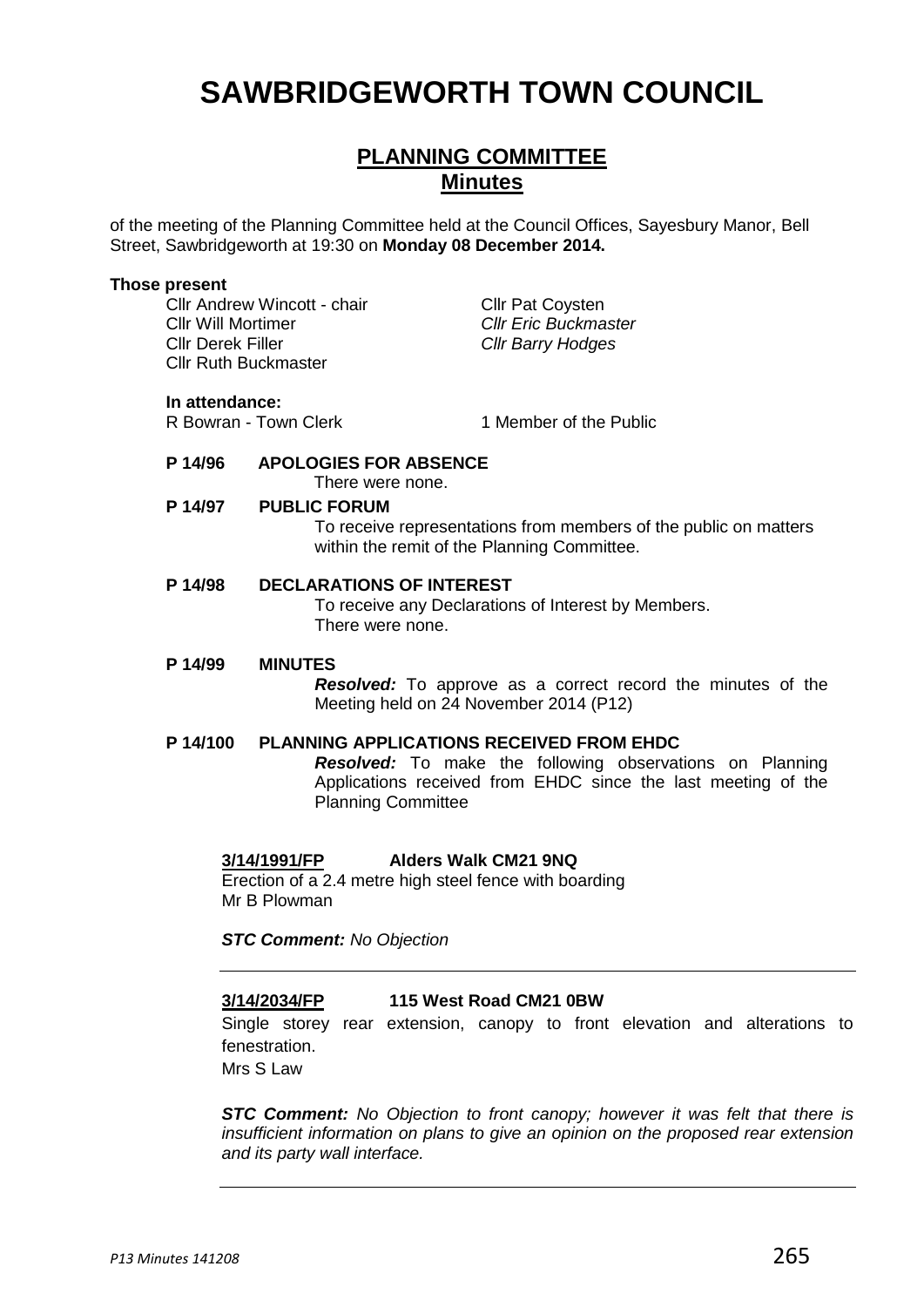# **SAWBRIDGEWORTH TOWN COUNCIL**

# **PLANNING COMMITTEE Minutes**

of the meeting of the Planning Committee held at the Council Offices, Sayesbury Manor, Bell Street, Sawbridgeworth at 19:30 on **Monday 08 December 2014.**

#### **Those present**

Cllr Andrew Wincott - chair Cllr Pat Coysten Cllr Will Mortimer *Cllr Eric Buckmaster* Cllr Derek Filler *Cllr Barry Hodges* Cllr Ruth Buckmaster

#### **In attendance:**

R Bowran - Town Clerk 1 Member of the Public

**P 14/96 APOLOGIES FOR ABSENCE**

There were none.

#### **P 14/97 PUBLIC FORUM**

To receive representations from members of the public on matters within the remit of the Planning Committee.

#### **P 14/98 DECLARATIONS OF INTEREST**

To receive any Declarations of Interest by Members. There were none.

#### **P 14/99 MINUTES**

*Resolved:* To approve as a correct record the minutes of the Meeting held on 24 November 2014 (P12)

# **P 14/100 PLANNING APPLICATIONS RECEIVED FROM EHDC**

*Resolved:* To make the following observations on Planning Applications received from EHDC since the last meeting of the Planning Committee

# **3/14/1991/FP Alders Walk CM21 9NQ**

Erection of a 2.4 metre high steel fence with boarding Mr B Plowman

*STC Comment: No Objection*

### **3/14/2034/FP 115 West Road CM21 0BW**

Single storey rear extension, canopy to front elevation and alterations to fenestration.

Mrs S Law

*STC Comment: No Objection to front canopy; however it was felt that there is insufficient information on plans to give an opinion on the proposed rear extension and its party wall interface.*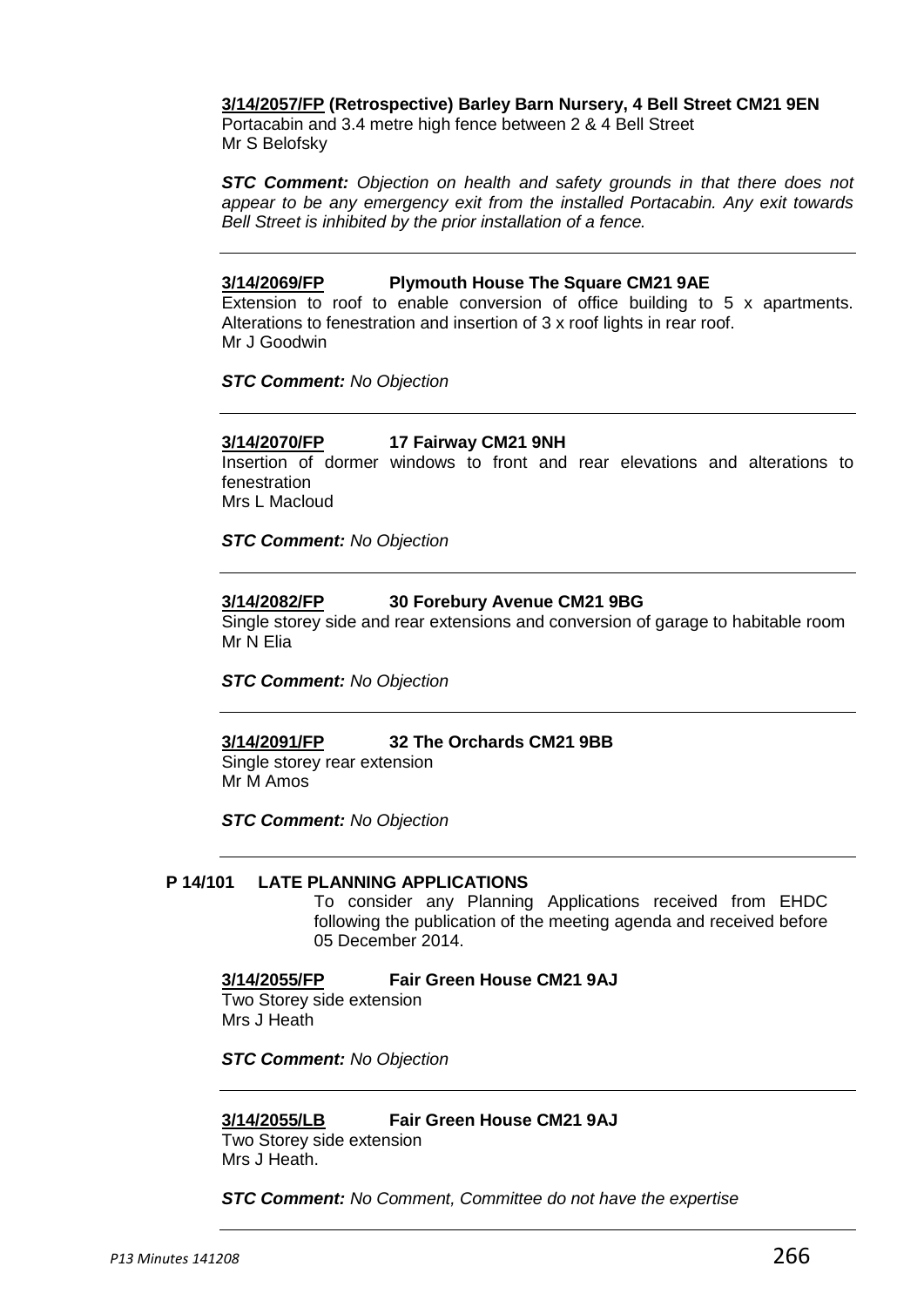### **3/14/2057/FP (Retrospective) Barley Barn Nursery, 4 Bell Street CM21 9EN**

Portacabin and 3.4 metre high fence between 2 & 4 Bell Street Mr S Belofsky

*STC Comment: Objection on health and safety grounds in that there does not appear to be any emergency exit from the installed Portacabin. Any exit towards Bell Street is inhibited by the prior installation of a fence.*

#### **3/14/2069/FP Plymouth House The Square CM21 9AE**

Extension to roof to enable conversion of office building to 5 x apartments. Alterations to fenestration and insertion of 3 x roof lights in rear roof. Mr J Goodwin

*STC Comment: No Objection*

#### **3/14/2070/FP 17 Fairway CM21 9NH**

Insertion of dormer windows to front and rear elevations and alterations to fenestration Mrs L Macloud

*STC Comment: No Objection*

#### **3/14/2082/FP 30 Forebury Avenue CM21 9BG**

Single storey side and rear extensions and conversion of garage to habitable room Mr N Elia

*STC Comment: No Objection*

# **3/14/2091/FP 32 The Orchards CM21 9BB**

Single storey rear extension Mr M Amos

*STC Comment: No Objection*

# **P 14/101 LATE PLANNING APPLICATIONS**

To consider any Planning Applications received from EHDC following the publication of the meeting agenda and received before 05 December 2014.

#### **3/14/2055/FP Fair Green House CM21 9AJ**

Two Storey side extension Mrs J Heath

*STC Comment: No Objection*

#### **3/14/2055/LB Fair Green House CM21 9AJ**

Two Storey side extension Mrs J Heath.

*STC Comment: No Comment, Committee do not have the expertise*